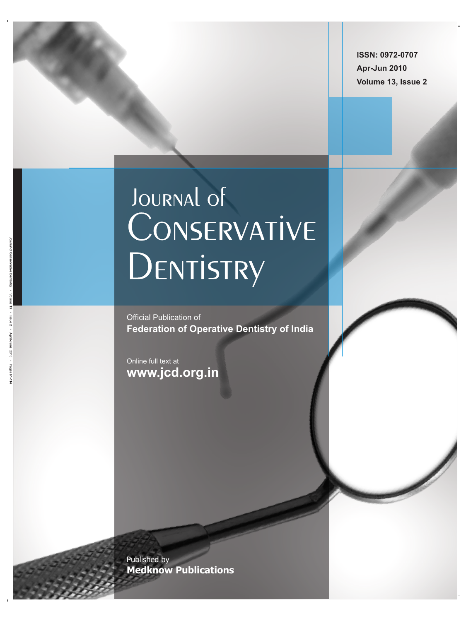**ISSN: 0972-0707 Apr-Jun 2010 Volume 13, Issue 2**

# JOURNAL OF CONSERVATIVE DENTISTRY

Official Publication of **Federation of Operative Dentistry of India**

Online full text at **www.jcd.org.in**

Published by **Medknow Publications**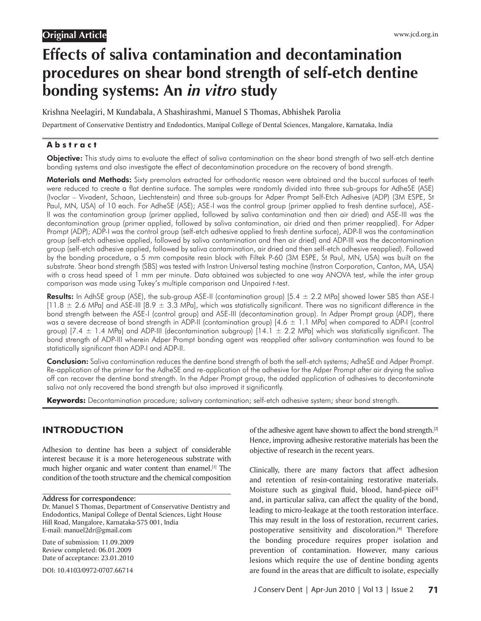# **Original Article**

# **Effects of saliva contamination and decontamination procedures on shear bond strength of self-etch dentine bonding systems: An** *in vitro* **study**

Krishna Neelagiri, M Kundabala, A Shashirashmi, Manuel S Thomas, Abhishek Parolia Department of Conservative Dentistry and Endodontics, Manipal College of Dental Sciences, Mangalore, Karnataka, India

#### **A b s t r a c t**

Objective: This study aims to evaluate the effect of saliva contamination on the shear bond strength of two self-etch dentine bonding systems and also investigate the effect of decontamination procedure on the recovery of bond strength.

Materials and Methods: Sixty premolars extracted for orthodontic reason were obtained and the buccal surfaces of teeth were reduced to create a flat dentine surface. The samples were randomly divided into three sub-groups for AdheSE (ASE) (Ivoclar – Vivadent, Schaan, Liechtenstein) and three sub-groups for Adper Prompt Self-Etch Adhesive (ADP) (3M ESPE, St Paul, MN, USA) of 10 each. For AdheSE (ASE); ASE-I was the control group (primer applied to fresh dentine surface), ASE-II was the contamination group (primer applied, followed by saliva contamination and then air dried) and ASE-III was the decontamination group (primer applied, followed by saliva contamination, air dried and then primer reapplied). For Adper Prompt (ADP); ADP-I was the control group (self-etch adhesive applied to fresh dentine surface), ADP-II was the contamination group (self-etch adhesive applied, followed by saliva contamination and then air dried) and ADP-III was the decontamination group (self-etch adhesive applied, followed by saliva contamination, air dried and then self-etch adhesive reapplied). Followed by the bonding procedure, a 5 mm composite resin block with Filtek P-60 (3M ESPE, St Paul, MN, USA) was built on the substrate. Shear bond strength (SBS) was tested with Instron Universal testing machine (Instron Corporation, Canton, MA, USA) with a cross head speed of 1 mm per minute. Data obtained was subjected to one way ANOVA test, while the inter group comparison was made using Tukey's multiple comparison and Unpaired *t*-test.

Results: In AdhSE group (ASE), the sub-group ASE-II (contamination group) [5.4  $\pm$  2.2 MPa] showed lower SBS than ASE-I  $[11.8 \pm 2.6$  MPa] and ASE-III  $[8.9 \pm 3.3$  MPa], which was statistically significant. There was no significant difference in the bond strength between the ASE-I (control group) and ASE-III (decontamination group). In Adper Prompt group (ADP), there was a severe decrease of bond strength in ADP-II (contamination group)  $[4.6 \pm 1.1$  MPa] when compared to ADP-I (control group) [7.4  $\pm$  1.4 MPa] and ADP-III (decontamination subgroup) [14.1  $\pm$  2.2 MPa] which was statistically significant. The bond strength of ADP-III wherein Adper Prompt bonding agent was reapplied after salivary contamination was found to be statistically significant than ADP-I and ADP-II.

Conclusion: Saliva contamination reduces the dentine bond strength of both the self-etch systems; AdheSE and Adper Prompt. Re-application of the primer for the AdheSE and re-application of the adhesive for the Adper Prompt after air drying the saliva off can recover the dentine bond strength. In the Adper Prompt group, the added application of adhesives to decontaminate saliva not only recovered the bond strength but also improved it significantly.

**Keywords:** Decontamination procedure; salivary contamination; self-etch adhesive system; shear bond strength.

## **INTRODUCTION**

Adhesion to dentine has been a subject of considerable interest because it is a more heterogeneous substrate with much higher organic and water content than enamel.<sup>[1]</sup> The condition of the tooth structure and the chemical composition

#### **Address for correspondence:**

Dr. Manuel S Thomas, Department of Conservative Dentistry and Endodontics, Manipal College of Dental Sciences, Light House Hill Road, Mangalore, Karnataka-575 001, India E-mail: manuel2dr@gmail.com

Date of submission: 11.09.2009 Review completed: 06.01.2009 Date of acceptance: 23.01.2010

DOI: 10.4103/0972-0707.66714

of the adhesive agent have shown to affect the bond strength.<sup>[2]</sup> Hence, improving adhesive restorative materials has been the objective of research in the recent years.

Clinically, there are many factors that affect adhesion and retention of resin-containing restorative materials. Moisture such as gingival fluid, blood, hand-piece oil<sup>[3]</sup> and, in particular saliva, can affect the quality of the bond, leading to micro-leakage at the tooth restoration interface. This may result in the loss of restoration, recurrent caries, postoperative sensitivity and discoloration.<sup>[4]</sup> Therefore the bonding procedure requires proper isolation and prevention of contamination. However, many carious lesions which require the use of dentine bonding agents are found in the areas that are difficult to isolate, especially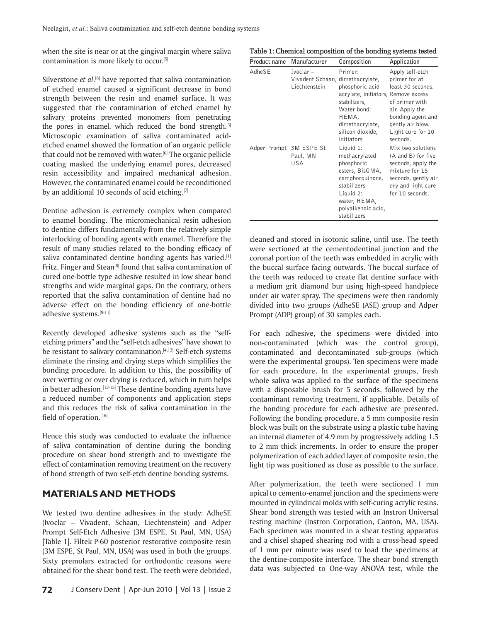when the site is near or at the gingival margin where saliva contamination is more likely to occur.[5]

Silverstone *et al*.<sup>[6]</sup> have reported that saliva contamination of etched enamel caused a significant decrease in bond strength between the resin and enamel surface. It was suggested that the contamination of etched enamel by salivary proteins prevented monomers from penetrating the pores in enamel, which reduced the bond strength. $[3]$ Microscopic examination of saliva contaminated acidetched enamel showed the formation of an organic pellicle that could not be removed with water.<sup>[6]</sup> The organic pellicle coating masked the underlying enamel pores, decreased resin accessibility and impaired mechanical adhesion. However, the contaminated enamel could be reconditioned by an additional 10 seconds of acid etching.[7]

Dentine adhesion is extremely complex when compared to enamel bonding. The micromechanical resin adhesion to dentine differs fundamentally from the relatively simple interlocking of bonding agents with enamel. Therefore the result of many studies related to the bonding efficacy of saliva contaminated dentine bonding agents has varied.[1] Fritz, Finger and Stean<sup>[8]</sup> found that saliva contamination of cured one-bottle type adhesive resulted in low shear bond strengths and wide marginal gaps. On the contrary, others reported that the saliva contamination of dentine had no adverse effect on the bonding efficiency of one-bottle adhesive systems.[9-11]

Recently developed adhesive systems such as the "selfetching primers" and the "self-etch adhesives" have shown to be resistant to salivary contamination.<sup>[4,12]</sup> Self-etch systems eliminate the rinsing and drying steps which simplifies the bonding procedure. In addition to this, the possibility of over wetting or over drying is reduced, which in turn helps in better adhesion. $[13-15]$  These dentine bonding agents have a reduced number of components and application steps and this reduces the risk of saliva contamination in the field of operation.[16]

Hence this study was conducted to evaluate the influence of saliva contamination of dentine during the bonding procedure on shear bond strength and to investigate the effect of contamination removing treatment on the recovery of bond strength of two self-etch dentine bonding systems.

#### **MATERIALS AND METHODS**

We tested two dentine adhesives in the study: AdheSE (Ivoclar – Vivadent, Schaan, Liechtenstein) and Adper Prompt Self-Etch Adhesive (3M ESPE, St Paul, MN, USA) [Table 1]. Filtek P-60 posterior restorative composite resin (3M ESPE, St Paul, MN, USA) was used in both the groups. Sixty premolars extracted for orthodontic reasons were obtained for the shear bond test. The teeth were debrided,

#### **Table 1: Chemical composition of the bonding systems tested**

| Product name            | Manufacturer                                                     | Composition                                                                                                                                                     | Application                                                                                                                                                         |
|-------------------------|------------------------------------------------------------------|-----------------------------------------------------------------------------------------------------------------------------------------------------------------|---------------------------------------------------------------------------------------------------------------------------------------------------------------------|
| AdheSE                  | $Ivoclar -$<br>Vivadent Schaan, dimethacrylate,<br>Liechtenstein | Primer:<br>phosphoric acid<br>acrylate, initiators, Remove excess<br>stabilizers,<br>Water bond:<br>HEMA,<br>dimethacrylate,<br>silicon dioxide,<br>initiators  | Apply self-etch<br>primer for at<br>least 30 seconds.<br>of primer with<br>air. Apply the<br>bonding agent and<br>gently air blow.<br>Light cure for 10<br>seconds. |
| Adper Prompt 3M ESPE St | Paul, MN<br>USA                                                  | Liquid 1:<br>methacrylated<br>phosphoric<br>esters, BisGMA,<br>camphorquinone,<br>stabilizers<br>Liquid 2:<br>water, HEMA,<br>polyalkenoic acid,<br>stabilizers | Mix two solutions<br>(A and B) for five<br>seconds, apply the<br>mixture for 15<br>seconds, gently air<br>dry and light cure<br>for 10 seconds.                     |

cleaned and stored in isotonic saline, until use. The teeth were sectioned at the cementodentinal junction and the coronal portion of the teeth was embedded in acrylic with the buccal surface facing outwards. The buccal surface of the teeth was reduced to create flat dentine surface with a medium grit diamond bur using high-speed handpiece under air water spray. The specimens were then randomly divided into two groups (AdheSE (ASE) group and Adper Prompt (ADP) group) of 30 samples each.

For each adhesive, the specimens were divided into non-contaminated (which was the control group), contaminated and decontaminated sub-groups (which were the experimental groups). Ten specimens were made for each procedure. In the experimental groups, fresh whole saliva was applied to the surface of the specimens with a disposable brush for 5 seconds, followed by the contaminant removing treatment, if applicable. Details of the bonding procedure for each adhesive are presented. Following the bonding procedure, a 5 mm composite resin block was built on the substrate using a plastic tube having an internal diameter of 4.9 mm by progressively adding 1.5 to 2 mm thick increments. In order to ensure the proper polymerization of each added layer of composite resin, the light tip was positioned as close as possible to the surface.

After polymerization, the teeth were sectioned 1 mm apical to cemento-enamel junction and the specimens were mounted in cylindrical molds with self-curing acrylic resins. Shear bond strength was tested with an Instron Universal testing machine (Instron Corporation, Canton, MA, USA). Each specimen was mounted in a shear testing apparatus and a chisel shaped shearing rod with a cross-head speed of 1 mm per minute was used to load the specimens at the dentine-composite interface. The shear bond strength data was subjected to One-way ANOVA test, while the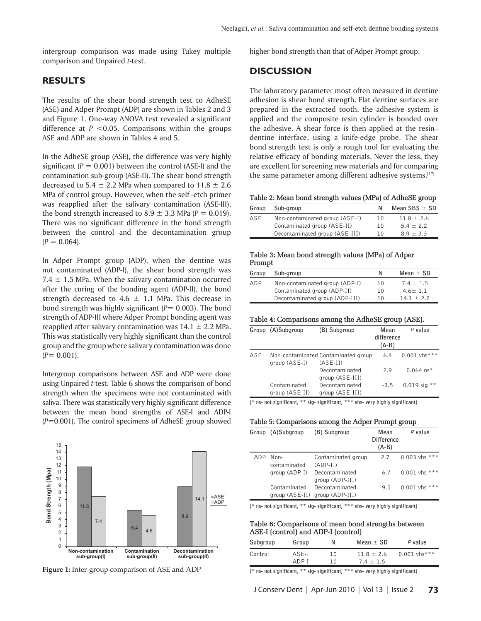intergroup comparison was made using Tukey multiple comparison and Unpaired *t-*test.

### **RESULTS**

The results of the shear bond strength test to AdheSE (ASE) and Adper Prompt (ADP) are shown in Tables 2 and 3 and Figure 1. One-way ANOVA test revealed a significant difference at  $P < 0.05$ . Comparisons within the groups ASE and ADP are shown in Tables 4 and 5.

In the AdheSE group (ASE), the difference was very highly significant  $(P = 0.001)$  between the control (ASE-I) and the contamination sub-group (ASE-II). The shear bond strength decreased to 5.4  $\pm$  2.2 MPa when compared to 11.8  $\pm$  2.6 MPa of control group. However, when the self -etch primer was reapplied after the salivary contamination (ASE-III), the bond strength increased to  $8.9 \pm 3.3$  MPa ( $P = 0.019$ ). There was no significant difference in the bond strength between the control and the decontamination group  $(P = 0.064)$ .

In Adper Prompt group (ADP), when the dentine was not contaminated (ADP-I), the shear bond strength was 7.4  $\pm$  1.5 MPa. When the salivary contamination occurred after the curing of the bonding agent (ADP-II), the bond strength decreased to 4.6  $\pm$  1.1 MPa. This decrease in bond strength was highly significant (*P*= 0.003). The bond strength of ADP-III where Adper Prompt bonding agent was reapplied after salivary contamination was  $14.1 \pm 2.2$  MPa. This was statistically very highly significant than the control group and the group where salivary contamination was done  $(P= 0.001)$ .

Intergroup comparisons between ASE and ADP were done using Unpaired *t-*test. Table 6 shows the comparison of bond strength when the specimens were not contaminated with saliva. There was statistically very highly significant difference between the mean bond strengths of ASE-I and ADP-I (*P*=0.001). The control specimens of AdheSE group showed



**Figure 1:** Inter-group comparison of ASE and ADP

higher bond strength than that of Adper Prompt group.

#### **DISCUSSION**

The laboratory parameter most often measured in dentine adhesion is shear bond strength. Flat dentine surfaces are prepared in the extracted tooth, the adhesive system is applied and the composite resin cylinder is bonded over the adhesive. A shear force is then applied at the resin– dentine interface, using a knife-edge probe. The shear bond strength test is only a rough tool for evaluating the relative efficacy of bonding materials. Never the less, they are excellent for screening new materials and for comparing the same parameter among different adhesive systems.<sup>[17]</sup>

**Table 2: Mean bond strength values (MPa) of AdheSE group**

| Group | Sub-group                      |    | Mean $SBS \pm SD$ |
|-------|--------------------------------|----|-------------------|
| ASE   | Non-contaminated group (ASE-I) | 10 | $11.8 + 2.6$      |
|       | Contaminated group (ASE-II)    | 10 | $5.4 + 2.2$       |
|       | Decontaminated group (ASE-III) | 10 | $8.9 + 3.3$       |

#### **Table 3: Mean bond strength values (MPa) of Adper Prompt**

| Group | Sub-group                      | N  | $Mean + SD$   |
|-------|--------------------------------|----|---------------|
| ADP   | Non-contaminated group (ADP-I) | 10 | $7.4 \pm 1.5$ |
|       | Contaminated group (ADP-II)    | 10 | $4.6 + 1.1$   |
|       | Decontaminated group (ADP-III) | 10 | $14.1 + 2.2$  |

| Table 4: Comparisons among the AdheSE group (ASE). |  |  |
|----------------------------------------------------|--|--|
|                                                    |  |  |

|     | Group (A)Subgroup              | (B) Subgroup                                      | Mean<br>difference<br>$(A-B)$ | $P$ value               |
|-----|--------------------------------|---------------------------------------------------|-------------------------------|-------------------------|
| ASE | group (ASE-I)                  | Non-contaminated Contaminated group<br>$(ASE-II)$ | 6.4                           | $0.001$ vhs***          |
|     |                                | Decontaminated<br>group (ASE-III)                 | 2.9                           | $0.064$ ns <sup>*</sup> |
|     | Contaminated<br>group (ASE-II) | Decontaminated<br>group (ASE-III)                 | $-3.5$                        | $0.019$ sig **          |

**(\* ns- not significant, \*\* sig- significant, \*\*\* vhs- very highly significant)**

#### **Table 5: Comparisons among the Adper Prompt group**

|     | Group (A)Subgroup                | (B) Subgroup                      | Mean<br><b>Difference</b><br>$(A-B)$ | $P$ value       |
|-----|----------------------------------|-----------------------------------|--------------------------------------|-----------------|
| ADP | Non-<br>contaminated             | Contaminated group<br>$(ADP-II)$  | 2.7                                  | 0.003 vhs ***   |
|     | group (ADP-I)                    | Decontaminated<br>group (ADP-III) | $-6.7$                               | $0.001$ vhs *** |
|     | Contaminated<br>group $(ASE-II)$ | Decontaminated<br>group (ADP-III) | $-9.5$                               | $0.001$ vhs *** |

**(\* ns- not significant, \*\* sig- significant, \*\*\* vhs- very highly significant)**

**Table 6: Comparisons of mean bond strengths between ASE-I (control) and ADP-I (control)**

| Subgroup | Group   | N  | Mean $\pm$ SD | P value        |
|----------|---------|----|---------------|----------------|
| Control  | $ASF-I$ | 10 | $11.8 + 2.6$  | $0.001$ vhs*** |
|          | $ADP-I$ | 10 | $7.4 + 1.5$   |                |

**(\* ns- not significant, \*\* sig- significant, \*\*\* vhs- very highly significant)**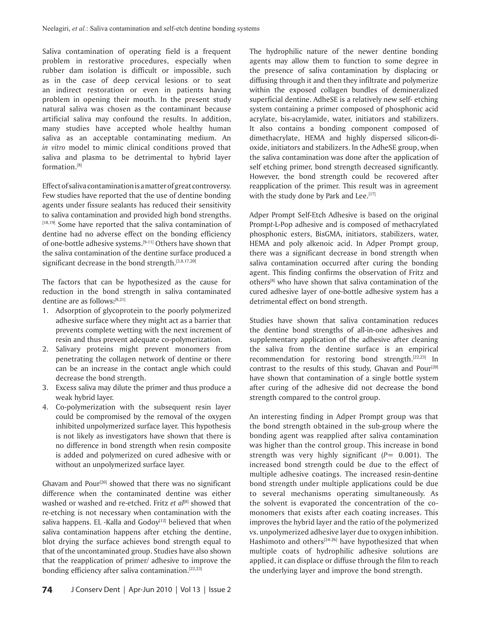Saliva contamination of operating field is a frequent problem in restorative procedures, especially when rubber dam isolation is difficult or impossible, such as in the case of deep cervical lesions or to seat an indirect restoration or even in patients having problem in opening their mouth. In the present study natural saliva was chosen as the contaminant because artificial saliva may confound the results. In addition, many studies have accepted whole healthy human saliva as an acceptable contaminating medium. An *in vitro* model to mimic clinical conditions proved that saliva and plasma to be detrimental to hybrid layer formation.[8]

Effect of saliva contamination is a matter of great controversy. Few studies have reported that the use of dentine bonding agents under fissure sealants has reduced their sensitivity to saliva contamination and provided high bond strengths. [18,19] Some have reported that the saliva contamination of dentine had no adverse effect on the bonding efficiency of one-bottle adhesive systems.[9-11] Others have shown that the saliva contamination of the dentine surface produced a significant decrease in the bond strength.<sup>[3,8,17,20]</sup>

The factors that can be hypothesized as the cause for reduction in the bond strength in saliva contaminated dentine are as follows:[8,21]

- 1. Adsorption of glycoprotein to the poorly polymerized adhesive surface where they might act as a barrier that prevents complete wetting with the next increment of resin and thus prevent adequate co-polymerization.
- 2. Salivary proteins might prevent monomers from penetrating the collagen network of dentine or there can be an increase in the contact angle which could decrease the bond strength.
- 3. Excess saliva may dilute the primer and thus produce a weak hybrid layer.
- 4. Co-polymerization with the subsequent resin layer could be compromised by the removal of the oxygen inhibited unpolymerized surface layer. This hypothesis is not likely as investigators have shown that there is no difference in bond strength when resin composite is added and polymerized on cured adhesive with or without an unpolymerized surface layer.

Ghavam and Pour<sup>[20]</sup> showed that there was no significant difference when the contaminated dentine was either washed or washed and re-etched. Fritz *et al*<sup>[8]</sup> showed that re-etching is not necessary when contamination with the saliva happens. EL -Kalla and  $Godoy<sup>[12]</sup>$  believed that when saliva contamination happens after etching the dentine, blot drying the surface achieves bond strength equal to that of the uncontaminated group. Studies have also shown that the reapplication of primer/ adhesive to improve the bonding efficiency after saliva contamination.<sup>[22,23]</sup>

The hydrophilic nature of the newer dentine bonding agents may allow them to function to some degree in the presence of saliva contamination by displacing or diffusing through it and then they infiltrate and polymerize within the exposed collagen bundles of demineralized superficial dentine. AdheSE is a relatively new self- etching system containing a primer composed of phosphonic acid acrylate, bis-acrylamide, water, initiators and stabilizers. It also contains a bonding component composed of dimethacrylate, HEMA and highly dispersed silicon-dioxide, initiators and stabilizers. In the AdheSE group, when the saliva contamination was done after the application of self etching primer, bond strength decreased significantly. However, the bond strength could be recovered after reapplication of the primer. This result was in agreement with the study done by Park and Lee.[17]

Adper Prompt Self-Etch Adhesive is based on the original Promp*t-*L-Pop adhesive and is composed of methacrylated phosphonic esters, BisGMA, initiators, stabilizers, water, HEMA and poly alkenoic acid. In Adper Prompt group, there was a significant decrease in bond strength when saliva contamination occurred after curing the bonding agent. This finding confirms the observation of Fritz and others[8] who have shown that saliva contamination of the cured adhesive layer of one-bottle adhesive system has a detrimental effect on bond strength.

Studies have shown that saliva contamination reduces the dentine bond strengths of all-in-one adhesives and supplementary application of the adhesive after cleaning the saliva from the dentine surface is an empirical recommendation for restoring bond strength.<sup>[22,23]</sup> In contrast to the results of this study, Ghavan and Pour<sup>[20]</sup> have shown that contamination of a single bottle system after curing of the adhesive did not decrease the bond strength compared to the control group.

An interesting finding in Adper Prompt group was that the bond strength obtained in the sub-group where the bonding agent was reapplied after saliva contamination was higher than the control group. This increase in bond strength was very highly significant  $(P= 0.001)$ . The increased bond strength could be due to the effect of multiple adhesive coatings. The increased resin-dentine bond strength under multiple applications could be due to several mechanisms operating simultaneously. As the solvent is evaporated the concentration of the comonomers that exists after each coating increases. This improves the hybrid layer and the ratio of the polymerized vs. unpolymerized adhesive layer due to oxygen inhibition. Hashimoto and others<sup>[24-26]</sup> have hypothesized that when multiple coats of hydrophilic adhesive solutions are applied, it can displace or diffuse through the film to reach the underlying layer and improve the bond strength.